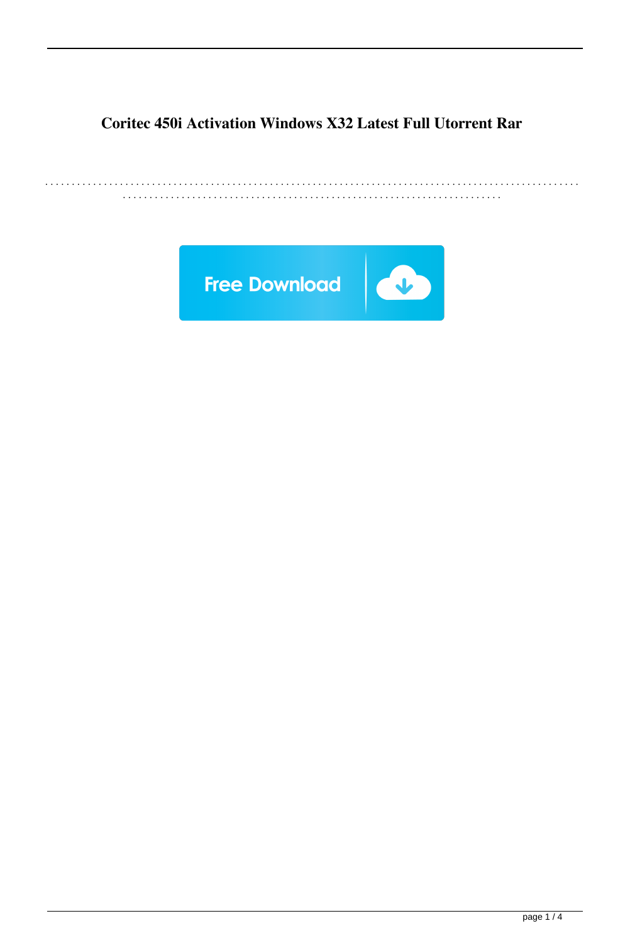## **Coritec 450i Activation Windows X32 Latest Full Utorrent Rar**

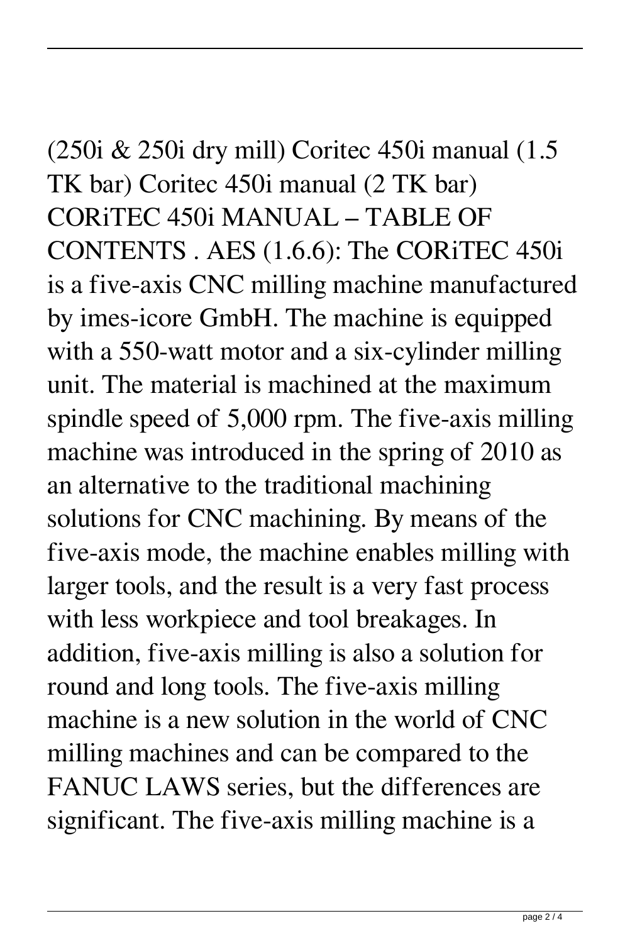(250i & 250i dry mill) Coritec 450i manual (1.5 TK bar) Coritec 450i manual (2 TK bar) CORiTEC 450i MANUAL – TABLE OF CONTENTS . AES (1.6.6): The CORiTEC 450i is a five-axis CNC milling machine manufactured by imes-icore GmbH. The machine is equipped with a 550-watt motor and a six-cylinder milling unit. The material is machined at the maximum spindle speed of 5,000 rpm. The five-axis milling machine was introduced in the spring of 2010 as an alternative to the traditional machining solutions for CNC machining. By means of the five-axis mode, the machine enables milling with larger tools, and the result is a very fast process with less workpiece and tool breakages. In addition, five-axis milling is also a solution for round and long tools. The five-axis milling machine is a new solution in the world of CNC milling machines and can be compared to the FANUC LAWS series, but the differences are significant. The five-axis milling machine is a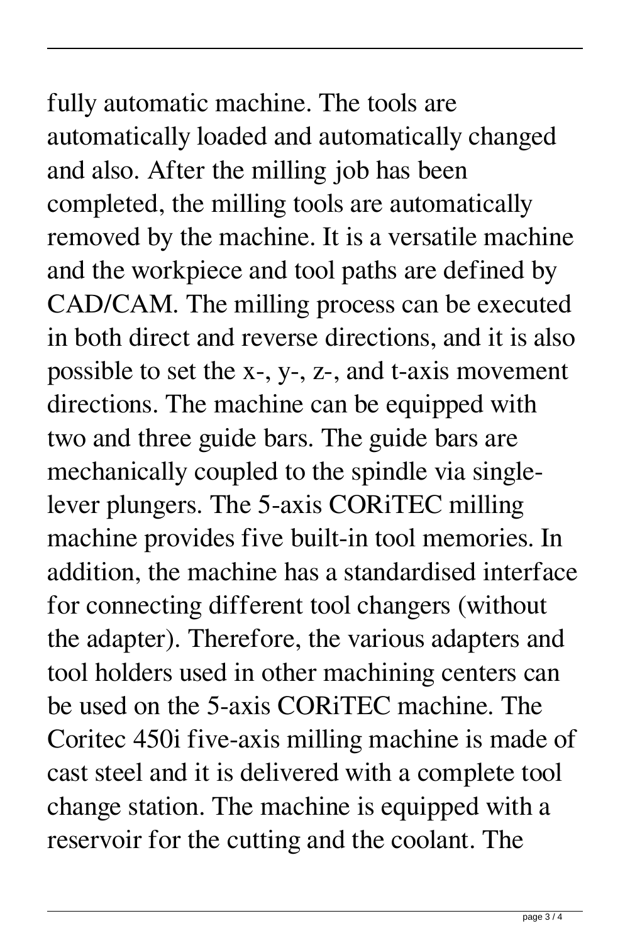## fully automatic machine. The tools are automatically loaded and automatically changed and also. After the milling job has been completed, the milling tools are automatically removed by the machine. It is a versatile machine and the workpiece and tool paths are defined by CAD/CAM. The milling process can be executed in both direct and reverse directions, and it is also possible to set the x-, y-, z-, and t-axis movement directions. The machine can be equipped with two and three guide bars. The guide bars are mechanically coupled to the spindle via singlelever plungers. The 5-axis CORiTEC milling machine provides five built-in tool memories. In addition, the machine has a standardised interface for connecting different tool changers (without the adapter). Therefore, the various adapters and tool holders used in other machining centers can be used on the 5-axis CORiTEC machine. The Coritec 450i five-axis milling machine is made of cast steel and it is delivered with a complete tool change station. The machine is equipped with a reservoir for the cutting and the coolant. The